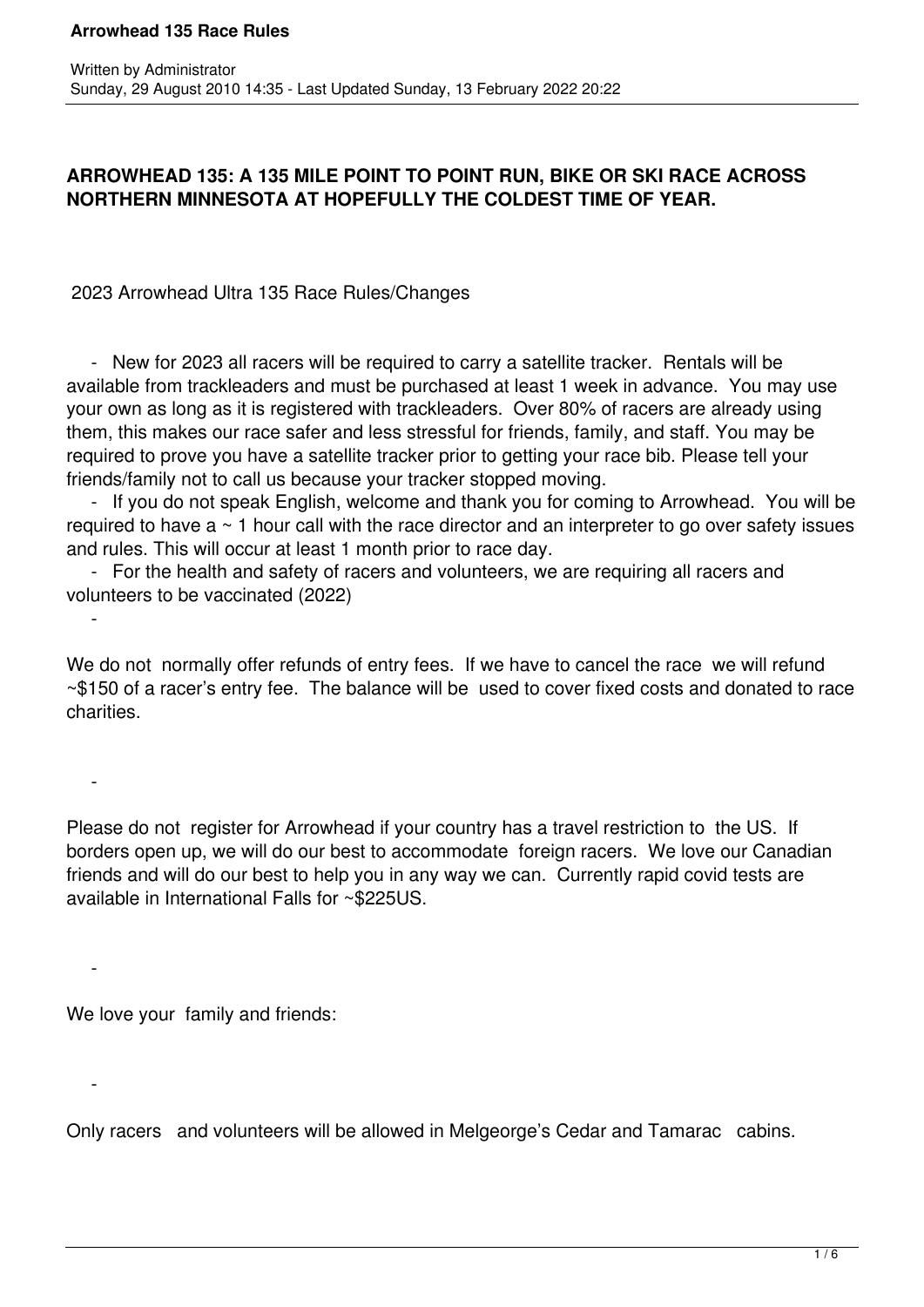# **ARROWHEAD 135: A 135 MILE POINT TO POINT RUN, BIKE OR SKI RACE ACROSS NORTHERN MINNESOTA AT HOPEFULLY THE COLDEST TIME OF YEAR.**

2023 Arrowhead Ultra 135 Race Rules/Changes

 - New for 2023 all racers will be required to carry a satellite tracker. Rentals will be available from trackleaders and must be purchased at least 1 week in advance. You may use your own as long as it is registered with trackleaders. Over 80% of racers are already using them, this makes our race safer and less stressful for friends, family, and staff. You may be required to prove you have a satellite tracker prior to getting your race bib. Please tell your friends/family not to call us because your tracker stopped moving.

 - If you do not speak English, welcome and thank you for coming to Arrowhead. You will be required to have  $a \sim 1$  hour call with the race director and an interpreter to go over safety issues and rules. This will occur at least 1 month prior to race day.

 - For the health and safety of racers and volunteers, we are requiring all racers and volunteers to be vaccinated (2022)

We do not normally offer refunds of entry fees. If we have to cancel the race we will refund ~\$150 of a racer's entry fee. The balance will be used to cover fixed costs and donated to race charities.

Please do not register for Arrowhead if your country has a travel restriction to the US. If borders open up, we will do our best to accommodate foreign racers. We love our Canadian friends and will do our best to help you in any way we can. Currently rapid covid tests are available in International Falls for ~\$225US.

We love your family and friends:

 $\sim$ 

 $\sim$   $-$ 

 $\sim$   $-$ 

-

Only racers and volunteers will be allowed in Melgeorge's Cedar and Tamarac cabins.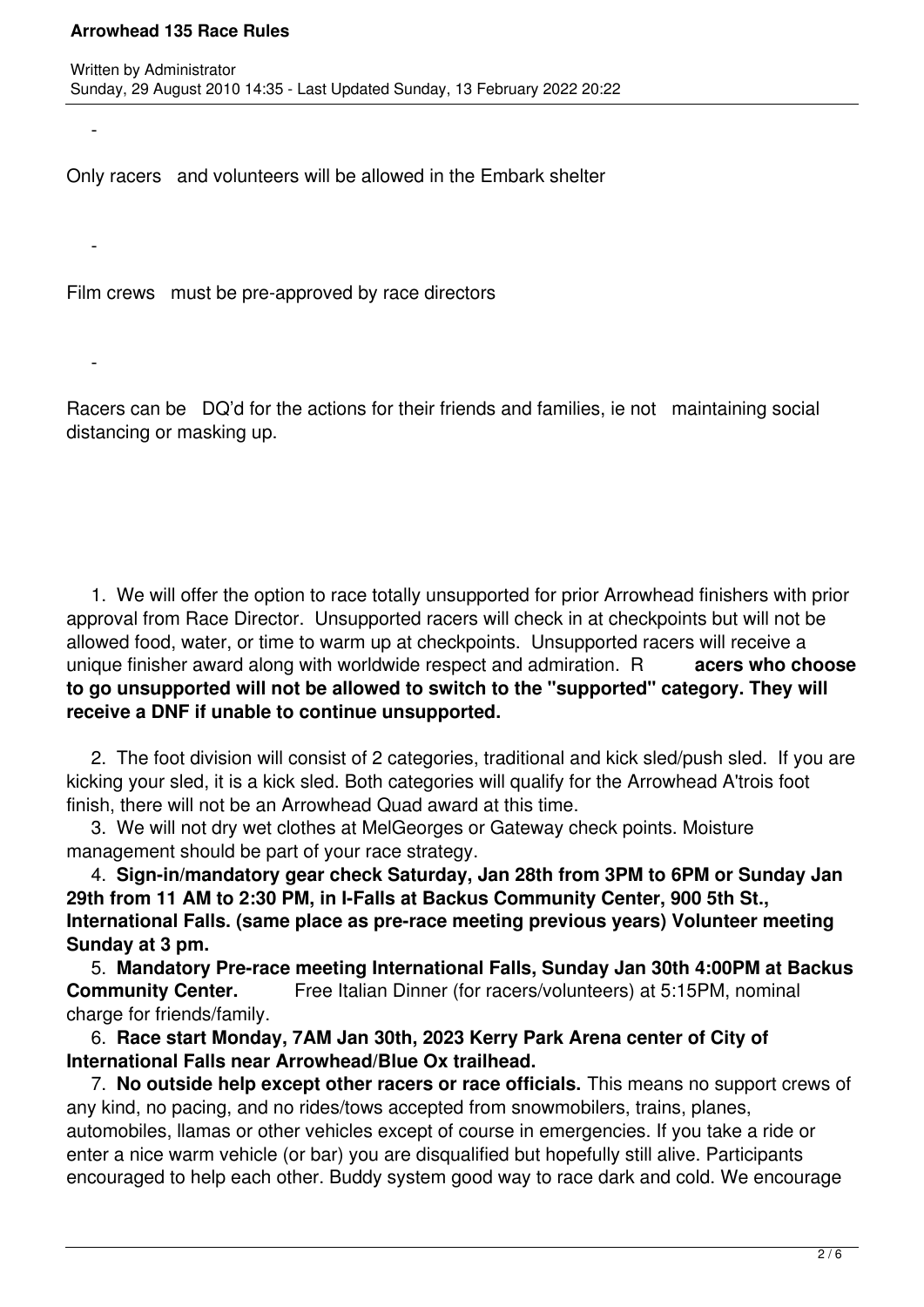-

-

-

Only racers and volunteers will be allowed in the Embark shelter

Film crews must be pre-approved by race directors

Racers can be DQ'd for the actions for their friends and families, ie not maintaining social distancing or masking up.

 1. We will offer the option to race totally unsupported for prior Arrowhead finishers with prior approval from Race Director. Unsupported racers will check in at checkpoints but will not be allowed food, water, or time to warm up at checkpoints. Unsupported racers will receive a unique finisher award along with worldwide respect and admiration. R **acers who choose to go unsupported will not be allowed to switch to the "supported" category. They will receive a DNF if unable to continue unsupported.**

 2. The foot division will consist of 2 categories, traditional and kick sled/push sled. If you are kicking your sled, it is a kick sled. Both categories will qualify for the Arrowhead A'trois foot finish, there will not be an Arrowhead Quad award at this time.

 3. We will not dry wet clothes at MelGeorges or Gateway check points. Moisture management should be part of your race strategy.

 4. **Sign-in/mandatory gear check Saturday, Jan 28th from 3PM to 6PM or Sunday Jan 29th from 11 AM to 2:30 PM, in I-Falls at Backus Community Center, 900 5th St., International Falls. (same place as pre-race meeting previous years) Volunteer meeting Sunday at 3 pm.**

 5. **Mandatory Pre-race meeting International Falls, Sunday Jan 30th 4:00PM at Backus Community Center.** Free Italian Dinner (for racers/volunteers) at 5:15PM, nominal charge for friends/family.

 6. **Race start Monday, 7AM Jan 30th, 2023 Kerry Park Arena center of City of International Falls near Arrowhead/Blue Ox trailhead.**

 7. **No outside help except other racers or race officials.** This means no support crews of any kind, no pacing, and no rides/tows accepted from snowmobilers, trains, planes, automobiles, llamas or other vehicles except of course in emergencies. If you take a ride or enter a nice warm vehicle (or bar) you are disqualified but hopefully still alive. Participants encouraged to help each other. Buddy system good way to race dark and cold. We encourage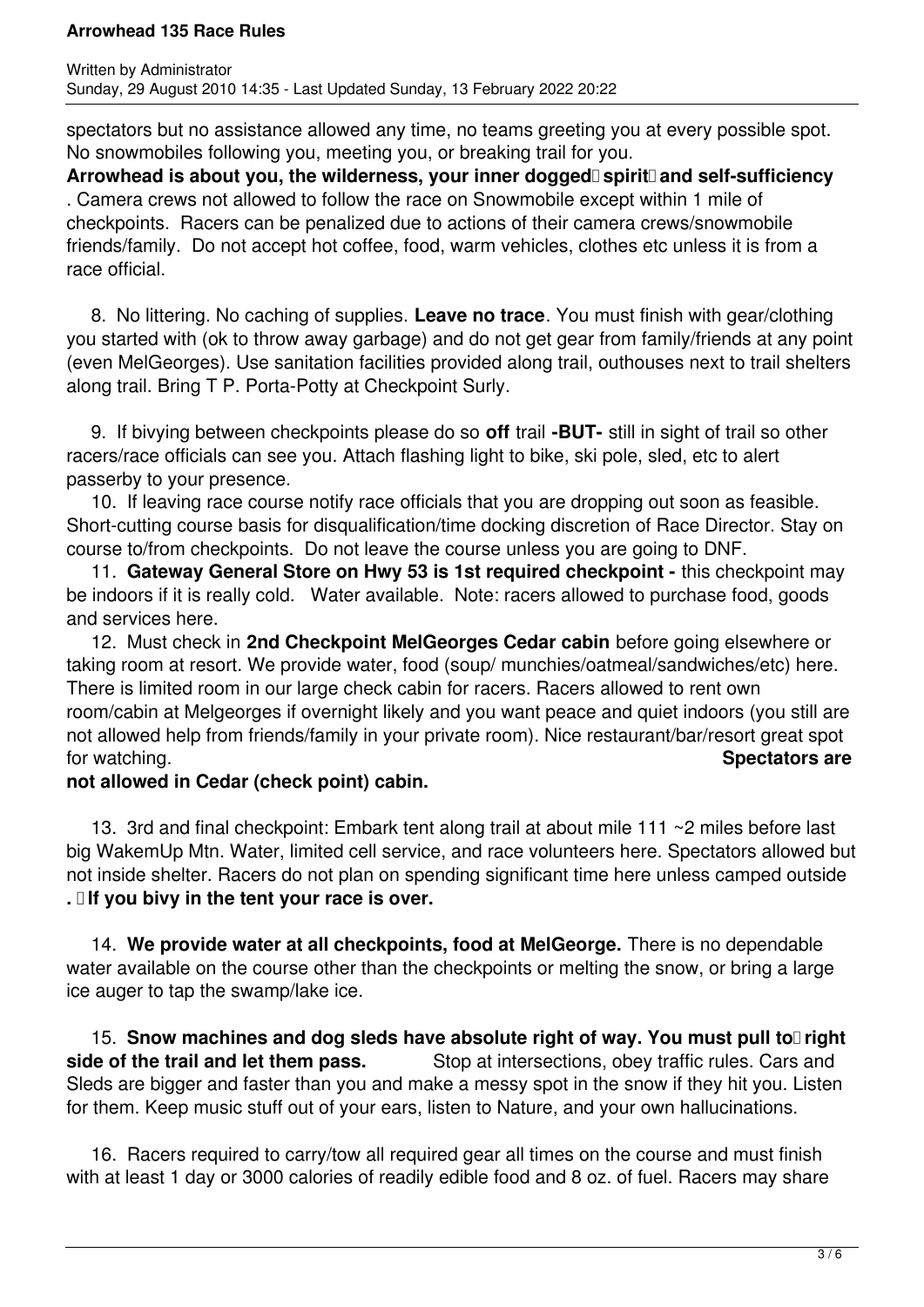spectators but no assistance allowed any time, no teams greeting you at every possible spot. No snowmobiles following you, meeting you, or breaking trail for you.

Arrowhead is about you, the wilderness, your inner dogged spirit and self-sufficiency . Camera crews not allowed to follow the race on Snowmobile except within 1 mile of checkpoints. Racers can be penalized due to actions of their camera crews/snowmobile friends/family. Do not accept hot coffee, food, warm vehicles, clothes etc unless it is from a race official.

 8. No littering. No caching of supplies. **Leave no trace**. You must finish with gear/clothing you started with (ok to throw away garbage) and do not get gear from family/friends at any point (even MelGeorges). Use sanitation facilities provided along trail, outhouses next to trail shelters along trail. Bring T P. Porta-Potty at Checkpoint Surly.

 9. If bivying between checkpoints please do so **off** trail **-BUT-** still in sight of trail so other racers/race officials can see you. Attach flashing light to bike, ski pole, sled, etc to alert passerby to your presence.

 10. If leaving race course notify race officials that you are dropping out soon as feasible. Short-cutting course basis for disqualification/time docking discretion of Race Director. Stay on course to/from checkpoints. Do not leave the course unless you are going to DNF.

 11. **Gateway General Store on Hwy 53 is 1st required checkpoint -** this checkpoint may be indoors if it is really cold. Water available. Note: racers allowed to purchase food, goods and services here.

 12. Must check in **2nd Checkpoint MelGeorges Cedar cabin** before going elsewhere or taking room at resort. We provide water, food (soup/ munchies/oatmeal/sandwiches/etc) here. There is limited room in our large check cabin for racers. Racers allowed to rent own room/cabin at Melgeorges if overnight likely and you want peace and quiet indoors (you still are not allowed help from friends/family in your private room). Nice restaurant/bar/resort great spot for watching. **Spectators are**

## **not allowed in Cedar (check point) cabin.**

 13. 3rd and final checkpoint: Embark tent along trail at about mile 111 ~2 miles before last big WakemUp Mtn. Water, limited cell service, and race volunteers here. Spectators allowed but not inside shelter. Racers do not plan on spending significant time here unless camped outside **. If you bivy in the tent your race is over.**

 14. **We provide water at all checkpoints, food at MelGeorge.** There is no dependable water available on the course other than the checkpoints or melting the snow, or bring a large ice auger to tap the swamp/lake ice.

15. Snow machines and dog sleds have absolute right of way. You must pull to right **side of the trail and let them pass.** Stop at intersections, obey traffic rules. Cars and Sleds are bigger and faster than you and make a messy spot in the snow if they hit you. Listen for them. Keep music stuff out of your ears, listen to Nature, and your own hallucinations.

 16. Racers required to carry/tow all required gear all times on the course and must finish with at least 1 day or 3000 calories of readily edible food and 8 oz. of fuel. Racers may share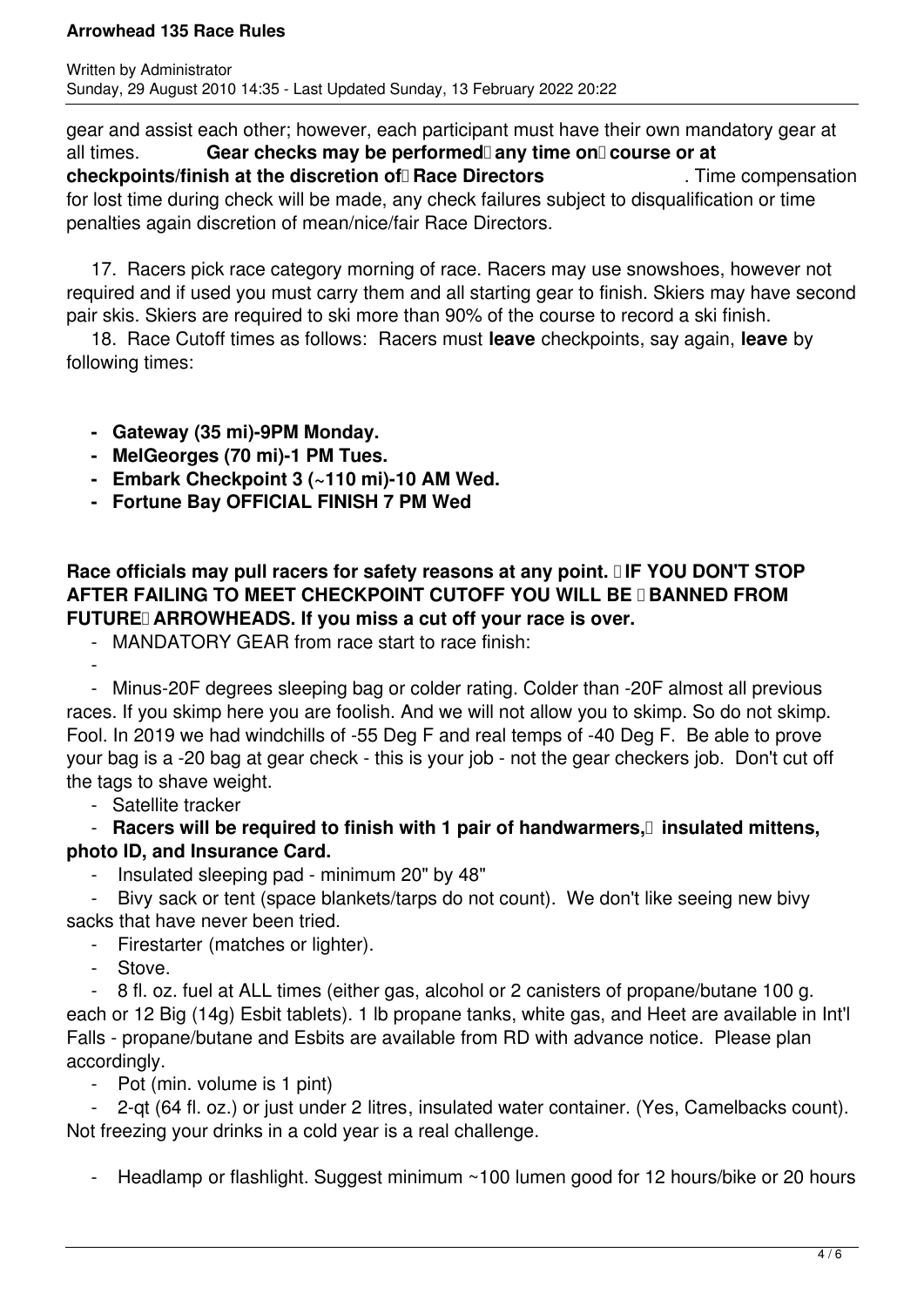gear and assist each other; however, each participant must have their own mandatory gear at all times. **Gear checks may be performed** any time on course or at **checkpoints/finish at the discretion of Race Directors** Time compensation for lost time during check will be made, any check failures subject to disqualification or time penalties again discretion of mean/nice/fair Race Directors.

 17. Racers pick race category morning of race. Racers may use snowshoes, however not required and if used you must carry them and all starting gear to finish. Skiers may have second pair skis. Skiers are required to ski more than 90% of the course to record a ski finish.

 18. Race Cutoff times as follows: Racers must **leave** checkpoints, say again, **leave** by following times:

- **Gateway (35 mi)-9PM Monday.**
- **MelGeorges (70 mi)-1 PM Tues.**
- **Embark Checkpoint 3 (~110 mi)-10 AM Wed.**
- **Fortune Bay OFFICIAL FINISH 7 PM Wed**

# Race officials may pull racers for safety reasons at any point. **IIF YOU DON'T STOP AFTER FAILING TO MEET CHECKPOINT CUTOFF YOU WILL BE II BANNED FROM** FUTURE ARROWHEADS. If you miss a cut off your race is over.

- MANDATORY GEAR from race start to race finish:

 - - Minus-20F degrees sleeping bag or colder rating. Colder than -20F almost all previous races. If you skimp here you are foolish. And we will not allow you to skimp. So do not skimp. Fool. In 2019 we had windchills of -55 Deg F and real temps of -40 Deg F. Be able to prove your bag is a -20 bag at gear check - this is your job - not the gear checkers job. Don't cut off the tags to shave weight.

- Satellite tracker

 - **Racers will be required to finish with 1 pair of handwarmers, insulated mittens, photo ID, and Insurance Card.**

- Insulated sleeping pad - minimum 20" by 48"

 - Bivy sack or tent (space blankets/tarps do not count). We don't like seeing new bivy sacks that have never been tried.

- Firestarter (matches or lighter).
- Stove.

 - 8 fl. oz. fuel at ALL times (either gas, alcohol or 2 canisters of propane/butane 100 g. each or 12 Big (14g) Esbit tablets). 1 lb propane tanks, white gas, and Heet are available in Int'l Falls - propane/butane and Esbits are available from RD with advance notice. Please plan accordingly.

- Pot (min. volume is 1 pint)

 - 2-qt (64 fl. oz.) or just under 2 litres, insulated water container. (Yes, Camelbacks count). Not freezing your drinks in a cold year is a real challenge.

- Headlamp or flashlight. Suggest minimum ~100 lumen good for 12 hours/bike or 20 hours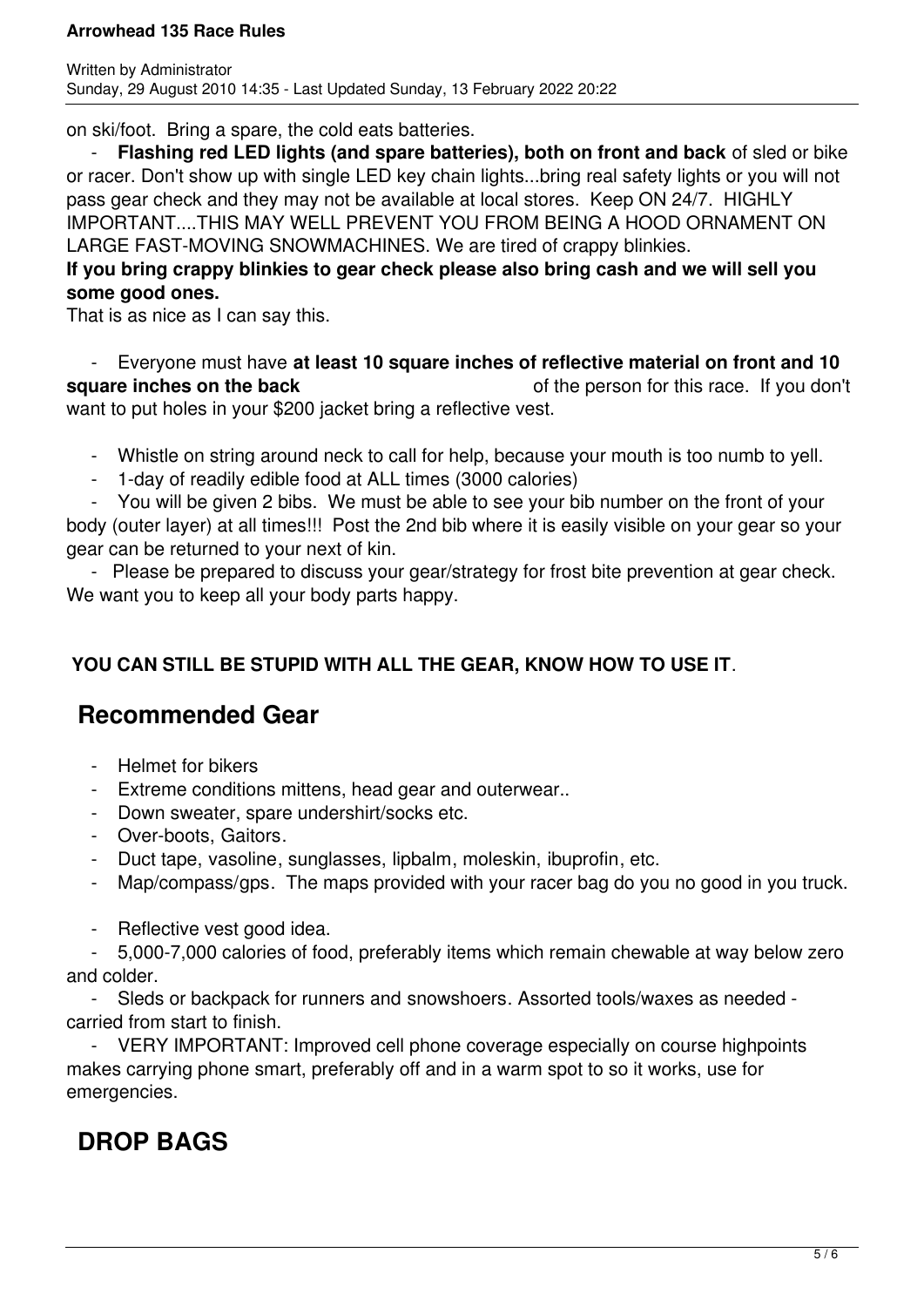on ski/foot. Bring a spare, the cold eats batteries.

**Flashing red LED lights (and spare batteries), both on front and back** of sled or bike or racer. Don't show up with single LED key chain lights...bring real safety lights or you will not pass gear check and they may not be available at local stores. Keep ON 24/7. HIGHLY IMPORTANT....THIS MAY WELL PREVENT YOU FROM BEING A HOOD ORNAMENT ON LARGE FAST-MOVING SNOWMACHINES. We are tired of crappy blinkies.

# **If you bring crappy blinkies to gear check please also bring cash and we will sell you some good ones.**

That is as nice as I can say this.

 - Everyone must have **at least 10 square inches of reflective material on front and 10 square inches on the back** of the person for this race. If you don't want to put holes in your \$200 jacket bring a reflective vest.

- Whistle on string around neck to call for help, because your mouth is too numb to yell.
- 1-day of readily edible food at ALL times (3000 calories)

 - You will be given 2 bibs. We must be able to see your bib number on the front of your body (outer layer) at all times!!! Post the 2nd bib where it is easily visible on your gear so your gear can be returned to your next of kin.

 - Please be prepared to discuss your gear/strategy for frost bite prevention at gear check. We want you to keep all your body parts happy.

# **YOU CAN STILL BE STUPID WITH ALL THE GEAR, KNOW HOW TO USE IT**.

# **Recommended Gear**

- Helmet for bikers
- Extreme conditions mittens, head gear and outerwear..
- Down sweater, spare undershirt/socks etc.
- Over-boots, Gaitors.
- Duct tape, vasoline, sunglasses, lipbalm, moleskin, ibuprofin, etc.
- Map/compass/gps. The maps provided with your racer bag do you no good in you truck.
- Reflective vest good idea.

 - 5,000-7,000 calories of food, preferably items which remain chewable at way below zero and colder.

 - Sleds or backpack for runners and snowshoers. Assorted tools/waxes as needed carried from start to finish.

 - VERY IMPORTANT: Improved cell phone coverage especially on course highpoints makes carrying phone smart, preferably off and in a warm spot to so it works, use for emergencies.

# **DROP BAGS**